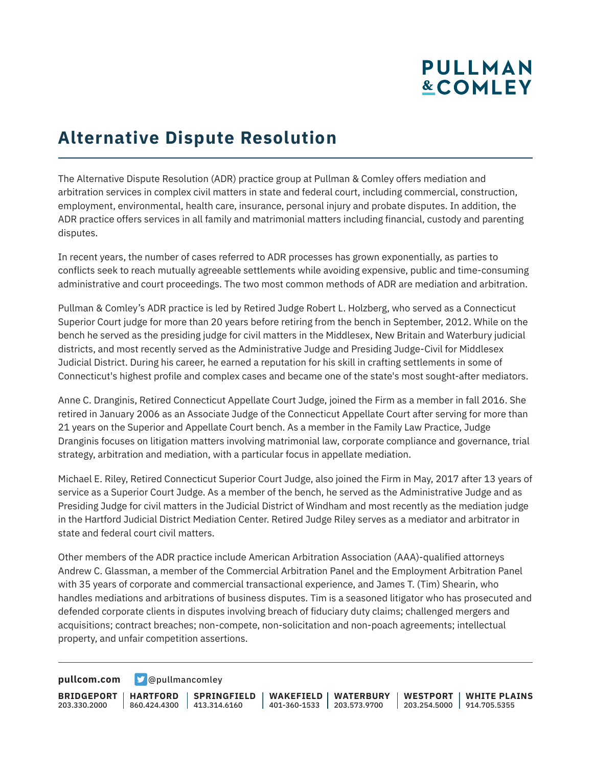## **PULLMAN &COMLEY**

## **Alternative Dispute Resolution**

The Alternative Dispute Resolution (ADR) practice group at Pullman & Comley offers mediation and arbitration services in complex civil matters in state and federal court, including commercial, construction, employment, environmental, health care, insurance, personal injury and probate disputes. In addition, the ADR practice offers services in all family and matrimonial matters including financial, custody and parenting disputes.

In recent years, the number of cases referred to ADR processes has grown exponentially, as parties to conflicts seek to reach mutually agreeable settlements while avoiding expensive, public and time-consuming administrative and court proceedings. The two most common methods of ADR are mediation and arbitration.

Pullman & Comley's ADR practice is led by Retired Judge Robert L. Holzberg, who served as a Connecticut Superior Court judge for more than 20 years before retiring from the bench in September, 2012. While on the bench he served as the presiding judge for civil matters in the Middlesex, New Britain and Waterbury judicial districts, and most recently served as the Administrative Judge and Presiding Judge-Civil for Middlesex Judicial District. During his career, he earned a reputation for his skill in crafting settlements in some of Connecticut's highest profile and complex cases and became one of the state's most sought-after mediators.

Anne C. Dranginis, Retired Connecticut Appellate Court Judge, joined the Firm as a member in fall 2016. She retired in January 2006 as an Associate Judge of the Connecticut Appellate Court after serving for more than 21 years on the Superior and Appellate Court bench. As a member in the Family Law Practice, Judge Dranginis focuses on litigation matters involving matrimonial law, corporate compliance and governance, trial strategy, arbitration and mediation, with a particular focus in appellate mediation.

Michael E. Riley, Retired Connecticut Superior Court Judge, also joined the Firm in May, 2017 after 13 years of service as a Superior Court Judge. As a member of the bench, he served as the Administrative Judge and as Presiding Judge for civil matters in the Judicial District of Windham and most recently as the mediation judge in the Hartford Judicial District Mediation Center. Retired Judge Riley serves as a mediator and arbitrator in state and federal court civil matters.

Other members of the ADR practice include American Arbitration Association (AAA)-qualified attorneys Andrew C. Glassman, a member of the Commercial Arbitration Panel and the Employment Arbitration Panel with 35 years of corporate and commercial transactional experience, and James T. (Tim) Shearin, who handles mediations and arbitrations of business disputes. Tim is a seasoned litigator who has prosecuted and defended corporate clients in disputes involving breach of fiduciary duty claims; challenged mergers and acquisitions; contract breaches; non-compete, non-solicitation and non-poach agreements; intellectual property, and unfair competition assertions.

**[pullcom.com](https://www.pullcom.com) g** [@pullmancomley](https://twitter.com/PullmanComley)

**BRIDGEPORT HARTFORD** 203.330.2000

860.424.4300 413.314.6160 **SPRINGFIELD** **WAKEFIELD WATERBURY** 401-360-1533 203.573.9700